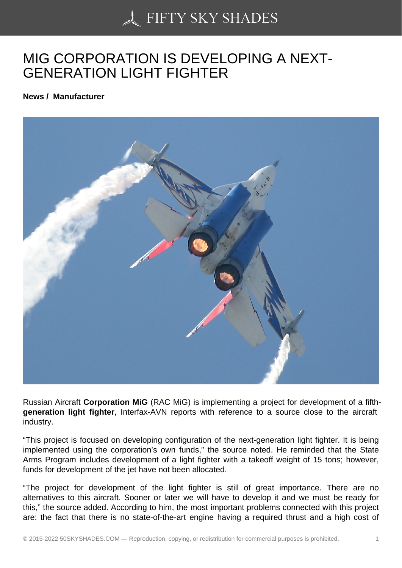## [MIG CORPORATION I](https://50skyshades.com)S DEVELOPING A NEXT-GENERATION LIGHT FIGHTER

News / Manufacturer

Russian Aircraft Corporation MiG (RAC MiG) is implementing a project for development of a fifthgeneration light fighter , Interfax-AVN reports with reference to a source close to the aircraft industry.

"This project is focused on developing configuration of the next-generation light fighter. It is being implemented using the corporation's own funds," the source noted. He reminded that the State Arms Program includes development of a light fighter with a takeoff weight of 15 tons; however, funds for development of the jet have not been allocated.

"The project for development of the light fighter is still of great importance. There are no alternatives to this aircraft. Sooner or later we will have to develop it and we must be ready for this," the source added. According to him, the most important problems connected with this project are: the fact that there is no state-of-the-art engine having a required thrust and a high cost of